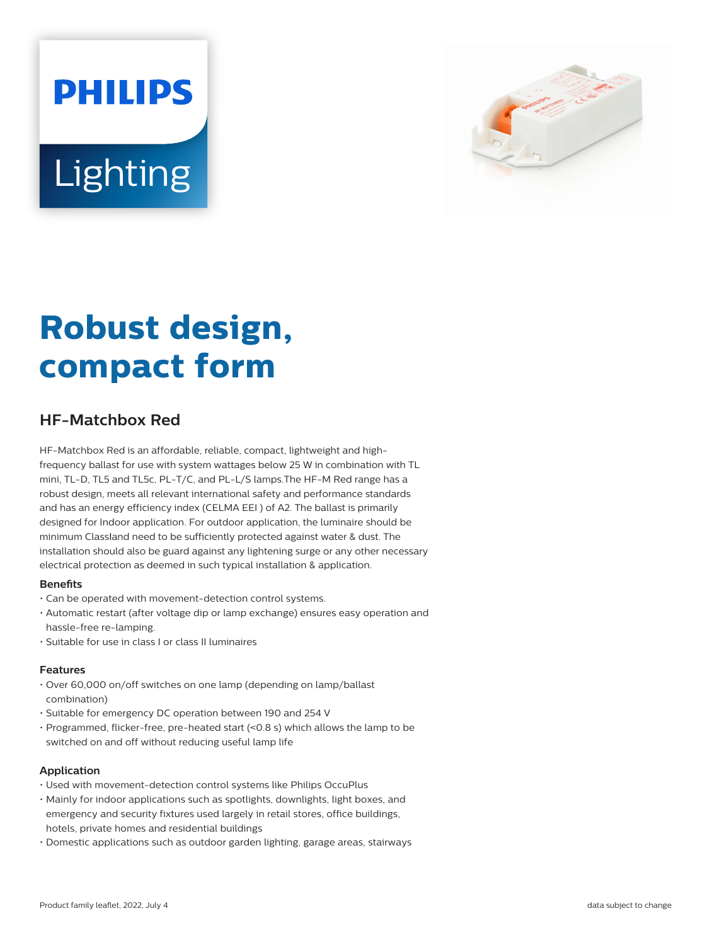# **PHILIPS** Lighting



# **Robust design, compact form**

# **HF-Matchbox Red**

HF-Matchbox Red is an affordable, reliable, compact, lightweight and highfrequency ballast for use with system wattages below 25 W in combination with TL mini, TL-D, TL5 and TL5c, PL-T/C, and PL-L/S lamps.The HF-M Red range has a robust design, meets all relevant international safety and performance standards and has an energy efficiency index (CELMA EEI ) of A2. The ballast is primarily designed for Indoor application. For outdoor application, the luminaire should be minimum Classland need to be sufficiently protected against water & dust. The installation should also be guard against any lightening surge or any other necessary electrical protection as deemed in such typical installation & application.

# **Benets**

- Can be operated with movement-detection control systems.
- Automatic restart (after voltage dip or lamp exchange) ensures easy operation and hassle-free re-lamping.
- Suitable for use in class I or class II luminaires

# **Features**

- Over 60,000 on/off switches on one lamp (depending on lamp/ballast combination)
- Suitable for emergency DC operation between 190 and 254 V
- Programmed, flicker-free, pre-heated start (<0.8 s) which allows the lamp to be switched on and off without reducing useful lamp life

#### **Application**

- Used with movement-detection control systems like Philips OccuPlus
- Mainly for indoor applications such as spotlights, downlights, light boxes, and emergency and security fixtures used largely in retail stores, office buildings, hotels, private homes and residential buildings
- Domestic applications such as outdoor garden lighting, garage areas, stairways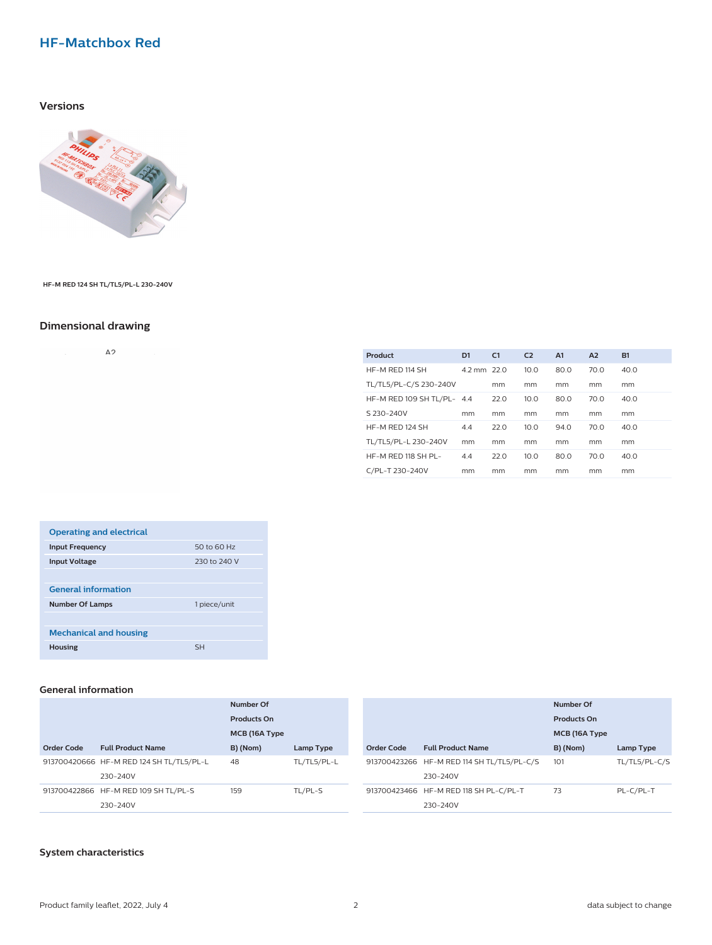# **HF-Matchbox Red**

### **Versions**



**HF-M RED 124 SH TL/TL5/PL-L 230-240V**

# **Dimensional drawing**

 $\Delta$  2

| Product                    | D1          | C <sub>1</sub> | C <sub>2</sub> | A1   | A2   | <b>B1</b> |
|----------------------------|-------------|----------------|----------------|------|------|-----------|
| HF-M RED 114 SH            | 4.2 mm 22.0 |                | 10.0           | 80.0 | 70.0 | 40.0      |
| TL/TL5/PL-C/S 230-240V     |             | mm             | mm             | mm   | mm   | mm        |
| HF-M RED 109 SH TL/PL- 4.4 |             | 22.0           | 10.0           | 80.0 | 70.0 | 40.0      |
| S 230-240V                 | mm          | mm             | mm             | mm   | mm   | mm        |
| HF-M RED 124 SH            | 4.4         | 22.0           | 10.0           | 94.0 | 70.0 | 40.0      |
| TL/TL5/PL-L 230-240V       | mm          | mm             | mm             | mm   | mm   | mm        |
| HF-M RED 118 SH PL-        | 4.4         | 22.0           | 10.0           | 80.0 | 70.0 | 40.0      |
| C/PL-T 230-240V            | mm          | mm             | mm             | mm   | mm   | mm        |
|                            |             |                |                |      |      |           |

| <b>Operating and electrical</b> |              |
|---------------------------------|--------------|
| <b>Input Frequency</b>          | 50 to 60 Hz  |
| <b>Input Voltage</b>            | 230 to 240 V |
|                                 |              |
| <b>General information</b>      |              |
| <b>Number Of Lamps</b>          | 1 piece/unit |
|                                 |              |
| <b>Mechanical and housing</b>   |              |
| <b>Housing</b>                  | <b>SH</b>    |

#### **General information**

|            |                                          | Number Of<br>Products On |             |            |                                            | Number Of          |               |  |
|------------|------------------------------------------|--------------------------|-------------|------------|--------------------------------------------|--------------------|---------------|--|
|            |                                          |                          |             |            |                                            | <b>Products On</b> |               |  |
|            |                                          | MCB (16A Type            |             |            |                                            |                    | MCB (16A Type |  |
| Order Code | <b>Full Product Name</b>                 | B) (Nom)                 | Lamp Type   | Order Code | <b>Full Product Name</b>                   | B) (Nom)           | Lamp Type     |  |
|            | 913700420666 HF-M RED 124 SH TL/TL5/PL-L | 48                       | TL/TL5/PL-L |            | 913700423266 HF-M RED 114 SH TL/TL5/PL-C/S | 101                | TL/TL5/PL-C/S |  |
|            | 230-240V                                 |                          |             |            | 230-240V                                   |                    |               |  |
|            | 913700422866 HF-M RED 109 SH TL/PL-S     | 159                      | TL/PL-S     |            | 913700423466 HF-M RED 118 SH PL-C/PL-T     | 73                 | PL-C/PL-T     |  |
|            | 230-240V                                 |                          |             |            | 230-240V                                   |                    |               |  |

### **System characteristics**